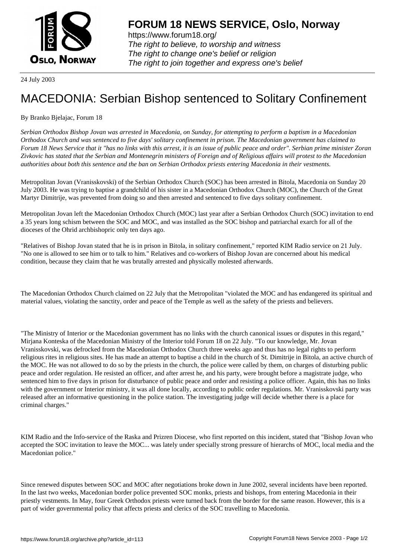

https://www.forum18.org/ The right to believe, to worship and witness The right to change one's belief or religion [The right to join together a](https://www.forum18.org/)nd express one's belief

24 July 2003

## [MACEDONIA: S](https://www.forum18.org)erbian Bishop sentenced to Solitary Confinement

By Branko Bjelajac, Forum 18

*Serbian Orthodox Bishop Jovan was arrested in Macedonia, on Sunday, for attempting to perform a baptism in a Macedonian Orthodox Church and was sentenced to five days' solitary confinement in prison. The Macedonian government has claimed to Forum 18 News Service that it "has no links with this arrest, it is an issue of public peace and order". Serbian prime minister Zoran Zivkovic has stated that the Serbian and Montenegrin ministers of Foreign and of Religious affairs will protest to the Macedonian authorities about both this sentence and the ban on Serbian Orthodox priests entering Macedonia in their vestments.*

Metropolitan Jovan (Vranisskovski) of the Serbian Orthodox Church (SOC) has been arrested in Bitola, Macedonia on Sunday 20 July 2003. He was trying to baptise a grandchild of his sister in a Macedonian Orthodox Church (MOC), the Church of the Great Martyr Dimitrije, was prevented from doing so and then arrested and sentenced to five days solitary confinement.

Metropolitan Jovan left the Macedonian Orthodox Church (MOC) last year after a Serbian Orthodox Church (SOC) invitation to end a 35 years long schism between the SOC and MOC, and was installed as the SOC bishop and patriarchal exarch for all of the dioceses of the Ohrid archbishopric only ten days ago.

"Relatives of Bishop Jovan stated that he is in prison in Bitola, in solitary confinement," reported KIM Radio service on 21 July. "No one is allowed to see him or to talk to him." Relatives and co-workers of Bishop Jovan are concerned about his medical condition, because they claim that he was brutally arrested and physically molested afterwards.

The Macedonian Orthodox Church claimed on 22 July that the Metropolitan "violated the MOC and has endangered its spiritual and material values, violating the sanctity, order and peace of the Temple as well as the safety of the priests and believers.

"The Ministry of Interior or the Macedonian government has no links with the church canonical issues or disputes in this regard," Mirjana Konteska of the Macedonian Ministry of the Interior told Forum 18 on 22 July. "To our knowledge, Mr. Jovan Vranisskovski, was defrocked from the Macedonian Orthodox Church three weeks ago and thus has no legal rights to perform religious rites in religious sites. He has made an attempt to baptise a child in the church of St. Dimitrije in Bitola, an active church of the MOC. He was not allowed to do so by the priests in the church, the police were called by them, on charges of disturbing public peace and order regulation. He resisted an officer, and after arrest he, and his party, were brought before a magistrate judge, who sentenced him to five days in prison for disturbance of public peace and order and resisting a police officer. Again, this has no links with the government or Interior ministry, it was all done locally, according to public order regulations. Mr. Vranisskovski party was released after an informative questioning in the police station. The investigating judge will decide whether there is a place for criminal charges."

KIM Radio and the Info-service of the Raska and Prizren Diocese, who first reported on this incident, stated that "Bishop Jovan who accepted the SOC invitation to leave the MOC... was lately under specially strong pressure of hierarchs of MOC, local media and the Macedonian police."

Since renewed disputes between SOC and MOC after negotiations broke down in June 2002, several incidents have been reported. In the last two weeks, Macedonian border police prevented SOC monks, priests and bishops, from entering Macedonia in their priestly vestments. In May, four Greek Orthodox priests were turned back from the border for the same reason. However, this is a part of wider governmental policy that affects priests and clerics of the SOC travelling to Macedonia.